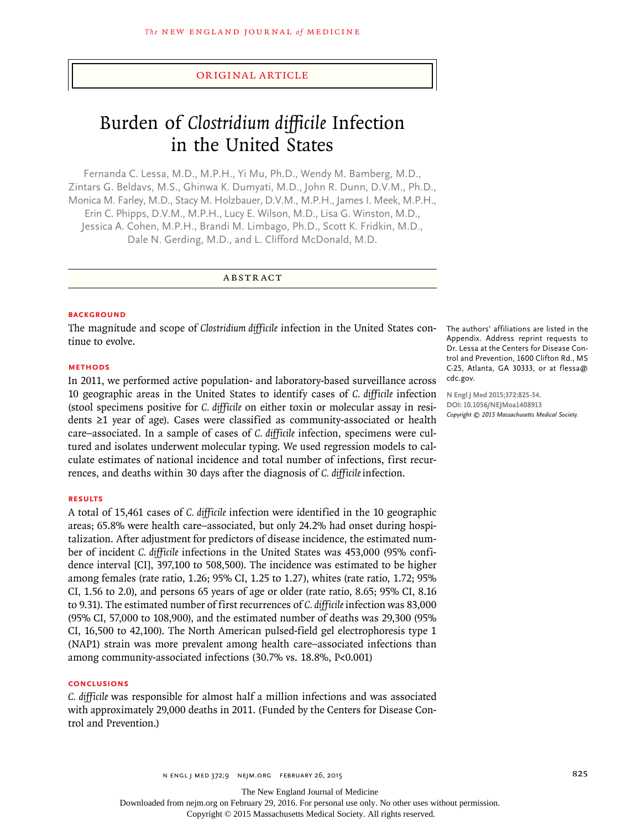## original article

# Burden of *Clostridium difficile* Infection in the United States

Fernanda C. Lessa, M.D., M.P.H., Yi Mu, Ph.D., Wendy M. Bamberg, M.D., Zintars G. Beldavs, M.S., Ghinwa K. Dumyati, M.D., John R. Dunn, D.V.M., Ph.D., Monica M. Farley, M.D., Stacy M. Holzbauer, D.V.M., M.P.H., James I. Meek, M.P.H., Erin C. Phipps, D.V.M., M.P.H., Lucy E. Wilson, M.D., Lisa G. Winston, M.D., Jessica A. Cohen, M.P.H., Brandi M. Limbago, Ph.D., Scott K. Fridkin, M.D., Dale N. Gerding, M.D., and L. Clifford McDonald, M.D.

ABSTRACT

#### **BACKGROUND**

The magnitude and scope of *Clostridium difficile* infection in the United States continue to evolve.

#### **Methods**

In 2011, we performed active population- and laboratory-based surveillance across 10 geographic areas in the United States to identify cases of *C. difficile* infection (stool specimens positive for *C. difficile* on either toxin or molecular assay in residents ≥1 year of age). Cases were classified as community-associated or health care–associated. In a sample of cases of *C. difficile* infection, specimens were cultured and isolates underwent molecular typing. We used regression models to calculate estimates of national incidence and total number of infections, first recurrences, and deaths within 30 days after the diagnosis of *C. difficile* infection.

#### **Results**

A total of 15,461 cases of *C. difficile* infection were identified in the 10 geographic areas; 65.8% were health care–associated, but only 24.2% had onset during hospitalization. After adjustment for predictors of disease incidence, the estimated number of incident *C. difficile* infections in the United States was 453,000 (95% confidence interval [CI], 397,100 to 508,500). The incidence was estimated to be higher among females (rate ratio, 1.26; 95% CI, 1.25 to 1.27), whites (rate ratio, 1.72; 95% CI, 1.56 to 2.0), and persons 65 years of age or older (rate ratio, 8.65; 95% CI, 8.16 to 9.31). The estimated number of first recurrences of *C. difficile* infection was 83,000 (95% CI, 57,000 to 108,900), and the estimated number of deaths was 29,300 (95% CI, 16,500 to 42,100). The North American pulsed-field gel electrophoresis type 1 (NAP1) strain was more prevalent among health care–associated infections than among community-associated infections (30.7% vs. 18.8%, P<0.001)

## **Conclusions**

*C. difficile* was responsible for almost half a million infections and was associated with approximately 29,000 deaths in 2011. (Funded by the Centers for Disease Control and Prevention.)

The authors' affiliations are listed in the Appendix. Address reprint requests to Dr. Lessa at the Centers for Disease Control and Prevention, 1600 Clifton Rd., MS C-25, Atlanta, GA 30333, or at flessa@ cdc.gov.

**N Engl J Med 2015;372:825-34. DOI: 10.1056/NEJMoa1408913** *Copyright © 2015 Massachusetts Medical Society.*

The New England Journal of Medicine

Downloaded from nejm.org on February 29, 2016. For personal use only. No other uses without permission.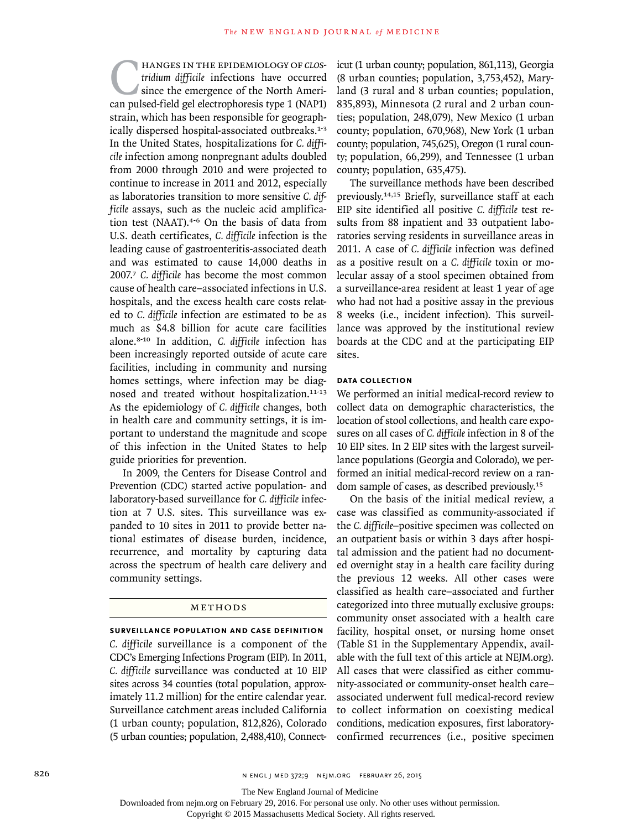HANGES IN THE EPIDEMIOLOGY OF *CLOS-*<br>
tridium difficile infections have occurred<br>
since the emergence of the North Ameri-<br>
can pulsed-field gel electrophoresis type 1 (NAP1) *tridium difficile* infections have occurred since the emergence of the North Ameristrain, which has been responsible for geographically dispersed hospital-associated outbreaks.1-3 In the United States, hospitalizations for *C. difficile* infection among nonpregnant adults doubled from 2000 through 2010 and were projected to continue to increase in 2011 and 2012, especially as laboratories transition to more sensitive *C. difficile* assays, such as the nucleic acid amplification test (NAAT).<sup>4-6</sup> On the basis of data from U.S. death certificates, *C. difficile* infection is the leading cause of gastroenteritis-associated death and was estimated to cause 14,000 deaths in 2007.<sup>7</sup> *C. difficile* has become the most common cause of health care–associated infections in U.S. hospitals, and the excess health care costs related to *C. difficile* infection are estimated to be as much as \$4.8 billion for acute care facilities alone.8-10 In addition, *C. difficile* infection has been increasingly reported outside of acute care facilities, including in community and nursing homes settings, where infection may be diagnosed and treated without hospitalization.11-13 As the epidemiology of *C. difficile* changes, both in health care and community settings, it is important to understand the magnitude and scope of this infection in the United States to help guide priorities for prevention.

In 2009, the Centers for Disease Control and Prevention (CDC) started active population- and laboratory-based surveillance for *C. difficile* infection at 7 U.S. sites. This surveillance was expanded to 10 sites in 2011 to provide better national estimates of disease burden, incidence, recurrence, and mortality by capturing data across the spectrum of health care delivery and community settings.

## **METHODS**

#### **Surveillance Population and Case Definition**

*C. difficile* surveillance is a component of the CDC's Emerging Infections Program (EIP). In 2011, *C. difficile* surveillance was conducted at 10 EIP sites across 34 counties (total population, approximately 11.2 million) for the entire calendar year. Surveillance catchment areas included California (1 urban county; population, 812,826), Colorado (5 urban counties; population, 2,488,410), Connecticut (1 urban county; population, 861,113), Georgia (8 urban counties; population, 3,753,452), Maryland (3 rural and 8 urban counties; population, 835,893), Minnesota (2 rural and 2 urban counties; population, 248,079), New Mexico (1 urban county; population, 670,968), New York (1 urban county; population, 745,625), Oregon (1 rural county; population, 66,299), and Tennessee (1 urban county; population, 635,475).

The surveillance methods have been described previously.14,15 Briefly, surveillance staff at each EIP site identified all positive *C. difficile* test results from 88 inpatient and 33 outpatient laboratories serving residents in surveillance areas in 2011. A case of *C. difficile* infection was defined as a positive result on a *C. difficile* toxin or molecular assay of a stool specimen obtained from a surveillance-area resident at least 1 year of age who had not had a positive assay in the previous 8 weeks (i.e., incident infection). This surveillance was approved by the institutional review boards at the CDC and at the participating EIP sites.

## **Data Collection**

We performed an initial medical-record review to collect data on demographic characteristics, the location of stool collections, and health care exposures on all cases of *C. difficile* infection in 8 of the 10 EIP sites. In 2 EIP sites with the largest surveillance populations (Georgia and Colorado), we performed an initial medical-record review on a random sample of cases, as described previously.<sup>15</sup>

On the basis of the initial medical review, a case was classified as community-associated if the *C. difficile–*positive specimen was collected on an outpatient basis or within 3 days after hospital admission and the patient had no documented overnight stay in a health care facility during the previous 12 weeks. All other cases were classified as health care*–*associated and further categorized into three mutually exclusive groups: community onset associated with a health care facility, hospital onset, or nursing home onset (Table S1 in the Supplementary Appendix, available with the full text of this article at NEJM.org). All cases that were classified as either community-associated or community-onset health care– associated underwent full medical-record review to collect information on coexisting medical conditions, medication exposures, first laboratoryconfirmed recurrences (i.e., positive specimen

The New England Journal of Medicine

Downloaded from nejm.org on February 29, 2016. For personal use only. No other uses without permission.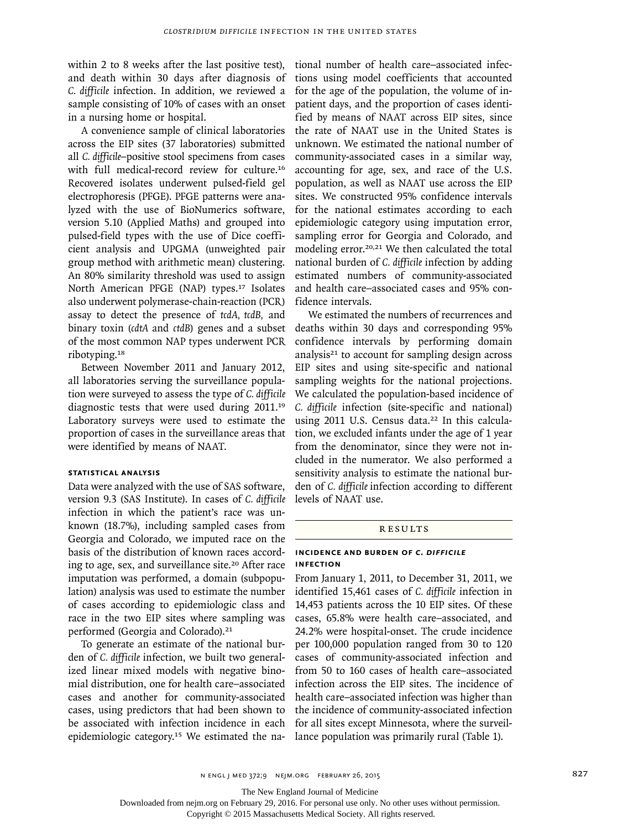within 2 to 8 weeks after the last positive test), and death within 30 days after diagnosis of *C. difficile* infection. In addition, we reviewed a sample consisting of 10% of cases with an onset in a nursing home or hospital.

A convenience sample of clinical laboratories across the EIP sites (37 laboratories) submitted all *C. difficile–*positive stool specimens from cases with full medical-record review for culture.<sup>16</sup> Recovered isolates underwent pulsed-field gel electrophoresis (PFGE). PFGE patterns were analyzed with the use of BioNumerics software, version 5.10 (Applied Maths) and grouped into pulsed-field types with the use of Dice coefficient analysis and UPGMA (unweighted pair group method with arithmetic mean) clustering. An 80% similarity threshold was used to assign North American PFGE (NAP) types.<sup>17</sup> Isolates also underwent polymerase-chain-reaction (PCR) assay to detect the presence of *tcdA, tcdB,* and binary toxin (*cdtA* and *ctdB*) genes and a subset of the most common NAP types underwent PCR ribotyping.<sup>18</sup>

Between November 2011 and January 2012, all laboratories serving the surveillance population were surveyed to assess the type of *C. difficile* diagnostic tests that were used during 2011.<sup>19</sup> Laboratory surveys were used to estimate the proportion of cases in the surveillance areas that were identified by means of NAAT.

#### **Statistical Analysis**

Data were analyzed with the use of SAS software, version 9.3 (SAS Institute). In cases of *C. difficile* infection in which the patient's race was unknown (18.7%), including sampled cases from Georgia and Colorado, we imputed race on the basis of the distribution of known races according to age, sex, and surveillance site.<sup>20</sup> After race imputation was performed, a domain (subpopulation) analysis was used to estimate the number of cases according to epidemiologic class and race in the two EIP sites where sampling was performed (Georgia and Colorado).<sup>21</sup>

To generate an estimate of the national burden of *C. difficile* infection, we built two generalized linear mixed models with negative binomial distribution, one for health care*–*associated cases and another for community-associated cases, using predictors that had been shown to be associated with infection incidence in each epidemiologic category.15 We estimated the national number of health care–associated infections using model coefficients that accounted for the age of the population, the volume of inpatient days, and the proportion of cases identified by means of NAAT across EIP sites, since the rate of NAAT use in the United States is unknown. We estimated the national number of community-associated cases in a similar way, accounting for age, sex, and race of the U.S. population, as well as NAAT use across the EIP sites. We constructed 95% confidence intervals for the national estimates according to each epidemiologic category using imputation error, sampling error for Georgia and Colorado, and modeling error.20,21 We then calculated the total national burden of *C. difficile* infection by adding estimated numbers of community-associated and health care–associated cases and 95% confidence intervals.

We estimated the numbers of recurrences and deaths within 30 days and corresponding 95% confidence intervals by performing domain analysis $21$  to account for sampling design across EIP sites and using site-specific and national sampling weights for the national projections. We calculated the population-based incidence of *C. difficile* infection (site-specific and national) using 2011 U.S. Census data.<sup>22</sup> In this calculation, we excluded infants under the age of 1 year from the denominator, since they were not included in the numerator. We also performed a sensitivity analysis to estimate the national burden of *C. difficile* infection according to different levels of NAAT use.

#### Results

## **Incidence and Burden of** *C. difficile* **Infection**

From January 1, 2011, to December 31, 2011, we identified 15,461 cases of *C. difficile* infection in 14,453 patients across the 10 EIP sites. Of these cases, 65.8% were health care–associated, and 24.2% were hospital-onset. The crude incidence per 100,000 population ranged from 30 to 120 cases of community-associated infection and from 50 to 160 cases of health care–associated infection across the EIP sites. The incidence of health care–associated infection was higher than the incidence of community-associated infection for all sites except Minnesota, where the surveillance population was primarily rural (Table 1).

The New England Journal of Medicine

Downloaded from nejm.org on February 29, 2016. For personal use only. No other uses without permission.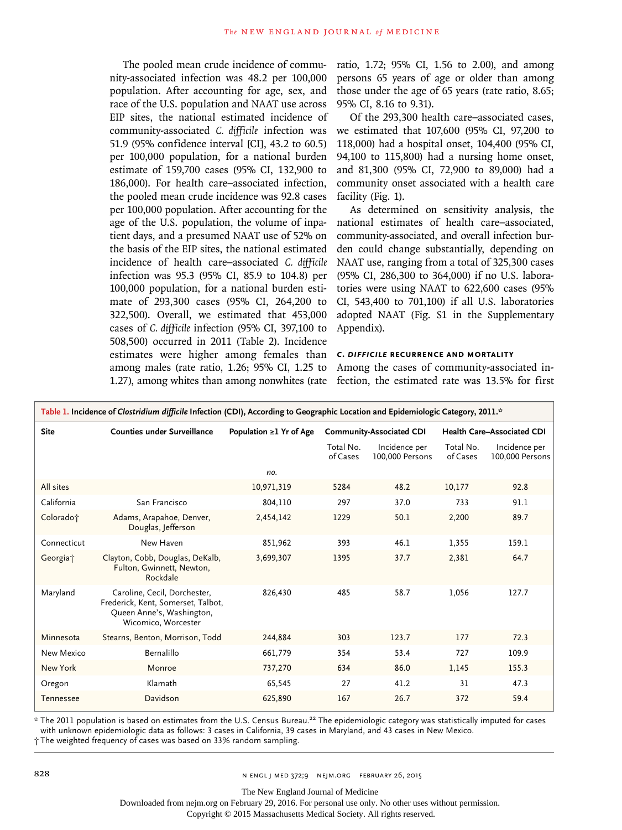The pooled mean crude incidence of community-associated infection was 48.2 per 100,000 population. After accounting for age, sex, and race of the U.S. population and NAAT use across EIP sites, the national estimated incidence of community-associated *C. difficile* infection was 51.9 (95% confidence interval [CI], 43.2 to 60.5) per 100,000 population, for a national burden estimate of 159,700 cases (95% CI, 132,900 to 186,000). For health care–associated infection, the pooled mean crude incidence was 92.8 cases per 100,000 population. After accounting for the age of the U.S. population, the volume of inpatient days, and a presumed NAAT use of 52% on the basis of the EIP sites, the national estimated incidence of health care–associated *C. difficile* infection was 95.3 (95% CI, 85.9 to 104.8) per 100,000 population, for a national burden estimate of 293,300 cases (95% CI, 264,200 to 322,500). Overall, we estimated that 453,000 cases of *C. difficile* infection (95% CI, 397,100 to 508,500) occurred in 2011 (Table 2). Incidence estimates were higher among females than among males (rate ratio, 1.26; 95% CI, 1.25 to 1.27), among whites than among nonwhites (rate

ratio, 1.72; 95% CI, 1.56 to 2.00), and among persons 65 years of age or older than among those under the age of 65 years (rate ratio, 8.65; 95% CI, 8.16 to 9.31).

Of the 293,300 health care–associated cases, we estimated that 107,600 (95% CI, 97,200 to 118,000) had a hospital onset, 104,400 (95% CI, 94,100 to 115,800) had a nursing home onset, and 81,300 (95% CI, 72,900 to 89,000) had a community onset associated with a health care facility (Fig. 1).

As determined on sensitivity analysis, the national estimates of health care–associated, community-associated, and overall infection burden could change substantially, depending on NAAT use, ranging from a total of 325,300 cases (95% CI, 286,300 to 364,000) if no U.S. laboratories were using NAAT to 622,600 cases (95% CI, 543,400 to 701,100) if all U.S. laboratories adopted NAAT (Fig. S1 in the Supplementary Appendix).

#### *C. difficile* **Recurrence and Mortality**

Among the cases of community-associated infection, the estimated rate was 13.5% for first

| Table 1. Incidence of Clostridium difficile Infection (CDI), According to Geographic Location and Epidemiologic Category, 2011.* |                                                                                                                        |                               |                       |                                  |                                   |                                  |  |
|----------------------------------------------------------------------------------------------------------------------------------|------------------------------------------------------------------------------------------------------------------------|-------------------------------|-----------------------|----------------------------------|-----------------------------------|----------------------------------|--|
| <b>Site</b>                                                                                                                      | <b>Counties under Surveillance</b>                                                                                     | Population $\geq$ 1 Yr of Age |                       | <b>Community-Associated CDI</b>  | <b>Health Care-Associated CDI</b> |                                  |  |
|                                                                                                                                  |                                                                                                                        |                               | Total No.<br>of Cases | Incidence per<br>100,000 Persons | Total No.<br>of Cases             | Incidence per<br>100,000 Persons |  |
|                                                                                                                                  |                                                                                                                        | no.                           |                       |                                  |                                   |                                  |  |
| All sites                                                                                                                        |                                                                                                                        | 10,971,319                    | 5284                  | 48.2                             | 10,177                            | 92.8                             |  |
| California                                                                                                                       | San Francisco                                                                                                          | 804,110                       | 297                   | 37.0                             | 733                               | 91.1                             |  |
| Colorado <sup>+</sup>                                                                                                            | Adams, Arapahoe, Denver,<br>Douglas, Jefferson                                                                         | 2,454,142                     | 1229                  | 50.1                             | 2,200                             | 89.7                             |  |
| Connecticut                                                                                                                      | New Haven                                                                                                              | 851,962                       | 393                   | 46.1                             | 1,355                             | 159.1                            |  |
| Georgia <sup>+</sup>                                                                                                             | Clayton, Cobb, Douglas, DeKalb,<br>Fulton, Gwinnett, Newton,<br>Rockdale                                               | 3,699,307                     | 1395                  | 37.7                             | 2,381                             | 64.7                             |  |
| Maryland                                                                                                                         | Caroline, Cecil, Dorchester,<br>Frederick, Kent, Somerset, Talbot,<br>Queen Anne's, Washington,<br>Wicomico, Worcester | 826,430                       | 485                   | 58.7                             | 1,056                             | 127.7                            |  |
| Minnesota                                                                                                                        | Stearns, Benton, Morrison, Todd                                                                                        | 244,884                       | 303                   | 123.7                            | 177                               | 72.3                             |  |
| New Mexico                                                                                                                       | Bernalillo                                                                                                             | 661,779                       | 354                   | 53.4                             | 727                               | 109.9                            |  |
| New York                                                                                                                         | Monroe                                                                                                                 | 737,270                       | 634                   | 86.0                             | 1,145                             | 155.3                            |  |
| Oregon                                                                                                                           | Klamath                                                                                                                | 65,545                        | 27                    | 41.2                             | 31                                | 47.3                             |  |
| Tennessee                                                                                                                        | Davidson                                                                                                               | 625,890                       | 167                   | 26.7                             | 372                               | 59.4                             |  |

\* The 2011 population is based on estimates from the U.S. Census Bureau.22 The epidemiologic category was statistically imputed for cases with unknown epidemiologic data as follows: 3 cases in California, 39 cases in Maryland, and 43 cases in New Mexico.

† The weighted frequency of cases was based on 33% random sampling.

The New England Journal of Medicine

Downloaded from nejm.org on February 29, 2016. For personal use only. No other uses without permission.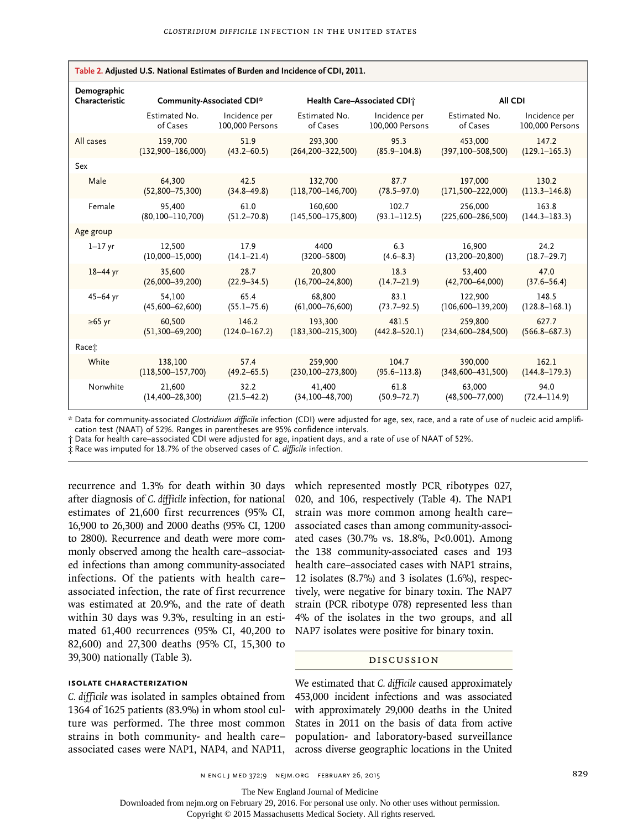| Table 2. Adjusted U.S. National Estimates of Burden and Incidence of CDI, 2011. |                           |                   |                             |                   |                         |                   |  |
|---------------------------------------------------------------------------------|---------------------------|-------------------|-----------------------------|-------------------|-------------------------|-------------------|--|
| Demographic<br>Characteristic                                                   | Community-Associated CDI* |                   | Health Care-Associated CDI+ |                   | All CDI                 |                   |  |
|                                                                                 | Estimated No.             | Incidence per     | Estimated No.               | Incidence per     | Estimated No.           | Incidence per     |  |
|                                                                                 | of Cases                  | 100,000 Persons   | of Cases                    | 100,000 Persons   | of Cases                | 100,000 Persons   |  |
| All cases                                                                       | 159,700                   | 51.9              | 293,300                     | 95.3              | 453,000                 | 147.2             |  |
|                                                                                 | $(132,900 - 186,000)$     | $(43.2 - 60.5)$   | $(264, 200 - 322, 500)$     | $(85.9 - 104.8)$  | $(397, 100 - 508, 500)$ | $(129.1 - 165.3)$ |  |
| Sex                                                                             |                           |                   |                             |                   |                         |                   |  |
| Male                                                                            | 64,300                    | 42.5              | 132,700                     | 87.7              | 197,000                 | 130.2             |  |
|                                                                                 | $(52,800 - 75,300)$       | $(34.8 - 49.8)$   | $(118,700 - 146,700)$       | $(78.5 - 97.0)$   | $(171, 500 - 222, 000)$ | $(113.3 - 146.8)$ |  |
| Female                                                                          | 95,400                    | 61.0              | 160,600                     | 102.7             | 256,000                 | 163.8             |  |
|                                                                                 | $(80, 100 - 110, 700)$    | $(51.2 - 70.8)$   | $(145,500 - 175,800)$       | $(93.1 - 112.5)$  | $(225,600 - 286,500)$   | $(144.3 - 183.3)$ |  |
| Age group                                                                       |                           |                   |                             |                   |                         |                   |  |
| $1 - 17$ yr                                                                     | 12,500                    | 17.9              | 4400                        | 6.3               | 16.900                  | 24.2              |  |
|                                                                                 | $(10,000 - 15,000)$       | $(14.1 - 21.4)$   | $(3200 - 5800)$             | $(4.6 - 8.3)$     | $(13, 200 - 20, 800)$   | $(18.7 - 29.7)$   |  |
| $18 - 44$ yr                                                                    | 35.600                    | 28.7              | 20,800                      | 18.3              | 53,400                  | 47.0              |  |
|                                                                                 | $(26,000-39,200)$         | $(22.9 - 34.5)$   | $(16,700 - 24,800)$         | $(14.7 - 21.9)$   | $(42,700 - 64,000)$     | $(37.6 - 56.4)$   |  |
| $45 - 64$ yr                                                                    | 54.100                    | 65.4              | 68.800                      | 83.1              | 122,900                 | 148.5             |  |
|                                                                                 | $(45,600 - 62,600)$       | $(55.1 - 75.6)$   | $(61,000 - 76,600)$         | $(73.7 - 92.5)$   | $(106, 600 - 139, 200)$ | $(128.8 - 168.1)$ |  |
| $\geq 65$ yr                                                                    | 60.500                    | 146.2             | 193.300                     | 481.5             | 259,800                 | 627.7             |  |
|                                                                                 | $(51, 300 - 69, 200)$     | $(124.0 - 167.2)$ | $(183, 300 - 215, 300)$     | $(442.8 - 520.1)$ | $(234, 600 - 284, 500)$ | $(566.8 - 687.3)$ |  |
| Racet                                                                           |                           |                   |                             |                   |                         |                   |  |
| White                                                                           | 138,100                   | 57.4              | 259,900                     | 104.7             | 390,000                 | 162.1             |  |
|                                                                                 | $(118,500 - 157,700)$     | $(49.2 - 65.5)$   | $(230, 100 - 273, 800)$     | $(95.6 - 113.8)$  | $(348,600 - 431,500)$   | $(144.8 - 179.3)$ |  |
| Nonwhite                                                                        | 21,600                    | 32.2              | 41.400                      | 61.8              | 63,000                  | 94.0              |  |
|                                                                                 | $(14, 400 - 28, 300)$     | $(21.5 - 42.2)$   | $(34, 100 - 48, 700)$       | $(50.9 - 72.7)$   | $(48,500 - 77,000)$     | $(72.4 - 114.9)$  |  |

**Table 2. Adjusted U.S. National Estimates of Burden and Incidence of CDI, 2011.**

\* Data for community-associated *Clostridium difficile* infection (CDI) were adjusted for age, sex, race, and a rate of use of nucleic acid amplification test (NAAT) of 52%. Ranges in parentheses are 95% confidence intervals.

† Data for health care–associated CDI were adjusted for age, inpatient days, and a rate of use of NAAT of 52%.

‡ Race was imputed for 18.7% of the observed cases of *C. difficile* infection.

recurrence and 1.3% for death within 30 days after diagnosis of *C. difficile* infection, for national estimates of 21,600 first recurrences (95% CI, 16,900 to 26,300) and 2000 deaths (95% CI, 1200 to 2800). Recurrence and death were more commonly observed among the health care–associated infections than among community-associated infections. Of the patients with health care– associated infection, the rate of first recurrence was estimated at 20.9%, and the rate of death within 30 days was 9.3%, resulting in an estimated 61,400 recurrences (95% CI, 40,200 to 82,600) and 27,300 deaths (95% CI, 15,300 to 39,300) nationally (Table 3).

## **Isolate Characterization**

*C. difficile* was isolated in samples obtained from 1364 of 1625 patients (83.9%) in whom stool culture was performed. The three most common strains in both community- and health care– associated cases were NAP1, NAP4, and NAP11,

which represented mostly PCR ribotypes 027, 020, and 106, respectively (Table 4). The NAP1 strain was more common among health care– associated cases than among community-associated cases (30.7% vs. 18.8%, P<0.001). Among the 138 community-associated cases and 193 health care–associated cases with NAP1 strains, 12 isolates (8.7%) and 3 isolates (1.6%), respectively, were negative for binary toxin. The NAP7 strain (PCR ribotype 078) represented less than 4% of the isolates in the two groups, and all NAP7 isolates were positive for binary toxin.

# Discussion

We estimated that *C. difficile* caused approximately 453,000 incident infections and was associated with approximately 29,000 deaths in the United States in 2011 on the basis of data from active population- and laboratory-based surveillance across diverse geographic locations in the United

n engl j med 372;9 nejm.org february 26, 2015 829

The New England Journal of Medicine

Downloaded from nejm.org on February 29, 2016. For personal use only. No other uses without permission.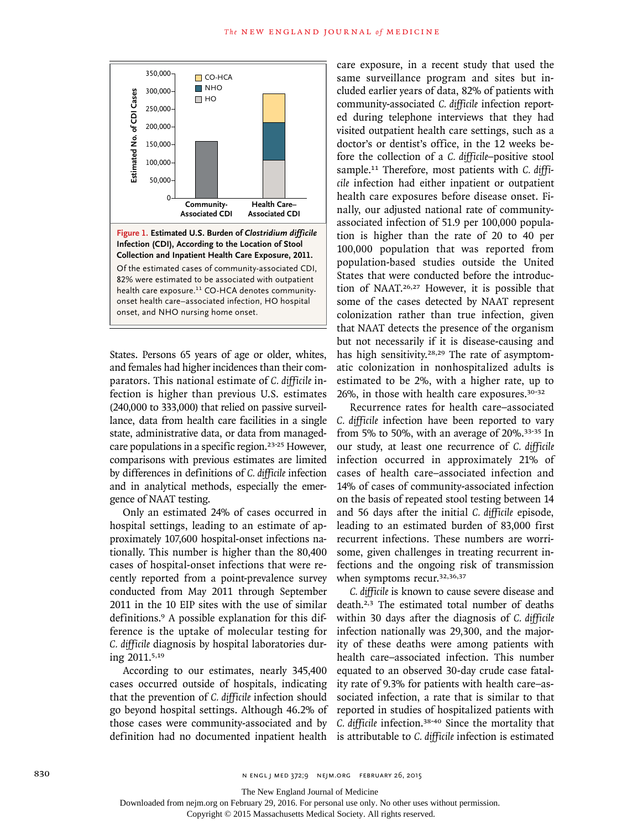

States. Persons 65 years of age or older, whites, and females had higher incidences than their comparators. This national estimate of *C. difficile* infection is higher than previous U.S. estimates (240,000 to 333,000) that relied on passive surveillance, data from health care facilities in a single state, administrative data, or data from managedcare populations in a specific region.23-25 However, comparisons with previous estimates are limited by differences in definitions of *C. difficile* infection and in analytical methods, especially the emergence of NAAT testing.

Only an estimated 24% of cases occurred in hospital settings, leading to an estimate of approximately 107,600 hospital-onset infections nationally. This number is higher than the 80,400 cases of hospital-onset infections that were recently reported from a point-prevalence survey conducted from May 2011 through September 2011 in the 10 EIP sites with the use of similar definitions.9 A possible explanation for this difference is the uptake of molecular testing for *C. difficile* diagnosis by hospital laboratories during 2011.5,19

According to our estimates, nearly 345,400 cases occurred outside of hospitals, indicating that the prevention of *C. difficile* infection should go beyond hospital settings. Although 46.2% of those cases were community-associated and by definition had no documented inpatient health care exposure, in a recent study that used the same surveillance program and sites but included earlier years of data, 82% of patients with community-associated *C. difficile* infection reported during telephone interviews that they had visited outpatient health care settings, such as a doctor's or dentist's office, in the 12 weeks before the collection of a *C. difficile*–positive stool sample.11 Therefore, most patients with *C. difficile* infection had either inpatient or outpatient health care exposures before disease onset. Finally, our adjusted national rate of communityassociated infection of 51.9 per 100,000 population is higher than the rate of 20 to 40 per 100,000 population that was reported from population-based studies outside the United States that were conducted before the introduction of NAAT.26,27 However, it is possible that some of the cases detected by NAAT represent colonization rather than true infection, given that NAAT detects the presence of the organism but not necessarily if it is disease-causing and has high sensitivity.<sup>28,29</sup> The rate of asymptomatic colonization in nonhospitalized adults is estimated to be 2%, with a higher rate, up to 26%, in those with health care exposures.30-32

Recurrence rates for health care–associated *C. difficile* infection have been reported to vary from 5% to 50%, with an average of 20%.33-35 In our study, at least one recurrence of *C. difficile* infection occurred in approximately 21% of cases of health care–associated infection and 14% of cases of community-associated infection on the basis of repeated stool testing between 14 and 56 days after the initial *C. difficile* episode, leading to an estimated burden of 83,000 first recurrent infections. These numbers are worrisome, given challenges in treating recurrent infections and the ongoing risk of transmission when symptoms recur.<sup>32,36,37</sup>

*C. difficile* is known to cause severe disease and death.2,3 The estimated total number of deaths within 30 days after the diagnosis of *C. difficile* infection nationally was 29,300, and the majority of these deaths were among patients with health care–associated infection. This number equated to an observed 30-day crude case fatality rate of 9.3% for patients with health care–associated infection, a rate that is similar to that reported in studies of hospitalized patients with *C. difficile* infection.38-40 Since the mortality that is attributable to *C. difficile* infection is estimated

The New England Journal of Medicine

Downloaded from nejm.org on February 29, 2016. For personal use only. No other uses without permission.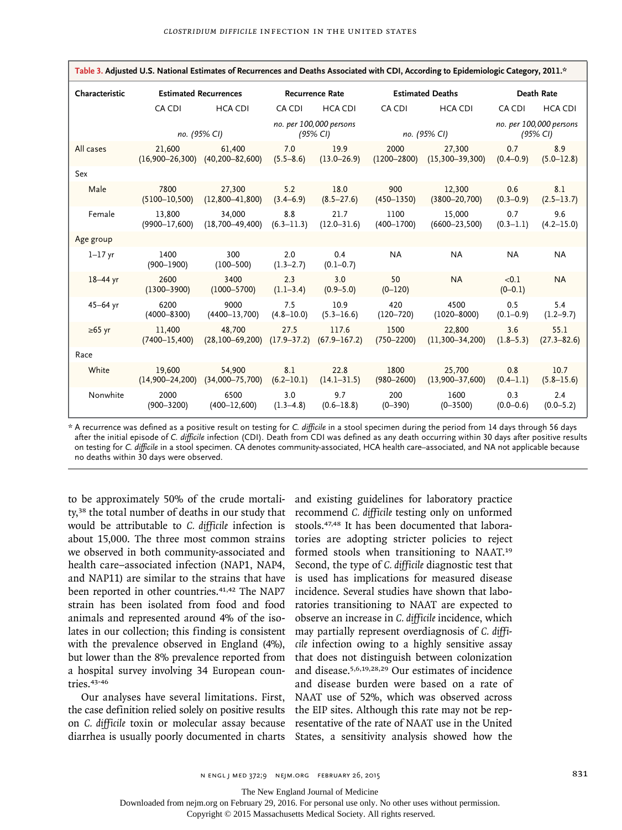| Table 3. Adjusted U.S. National Estimates of Recurrences and Deaths Associated with CDI, According to Epidemiologic Category, 2011.* |                               |                                 |                         |                                     |                         |                               |                      |                                     |  |
|--------------------------------------------------------------------------------------------------------------------------------------|-------------------------------|---------------------------------|-------------------------|-------------------------------------|-------------------------|-------------------------------|----------------------|-------------------------------------|--|
| Characteristic                                                                                                                       | <b>Estimated Recurrences</b>  |                                 | <b>Recurrence Rate</b>  |                                     | <b>Estimated Deaths</b> |                               | Death Rate           |                                     |  |
|                                                                                                                                      | CA CDI                        | <b>HCA CDI</b>                  | CA CDI                  | <b>HCA CDI</b>                      | CA CDI                  | <b>HCA CDI</b>                | CA CDI               | <b>HCA CDI</b>                      |  |
|                                                                                                                                      |                               | no. (95% CI)                    |                         | no. per 100,000 persons<br>(95% CI) |                         | no. (95% CI)                  |                      | no. per 100,000 persons<br>(95% CI) |  |
| All cases                                                                                                                            | 21.600<br>$(16,900 - 26,300)$ | 61.400<br>$(40, 200 - 82, 600)$ | 7.0<br>$(5.5 - 8.6)$    | 19.9<br>$(13.0 - 26.9)$             | 2000<br>$(1200 - 2800)$ | 27,300<br>$(15,300 - 39,300)$ | 0.7<br>$(0.4 - 0.9)$ | 8.9<br>$(5.0 - 12.8)$               |  |
| Sex                                                                                                                                  |                               |                                 |                         |                                     |                         |                               |                      |                                     |  |
| Male                                                                                                                                 | 7800<br>$(5100 - 10, 500)$    | 27,300<br>$(12,800 - 41,800)$   | 5.2<br>$(3.4 - 6.9)$    | 18.0<br>$(8.5 - 27.6)$              | 900<br>$(450 - 1350)$   | 12,300<br>$(3800 - 20, 700)$  | 0.6<br>$(0.3 - 0.9)$ | 8.1<br>$(2.5 - 13.7)$               |  |
| Female                                                                                                                               | 13,800<br>$(9900 - 17,600)$   | 34,000<br>$(18,700 - 49,400)$   | 8.8<br>$(6.3 - 11.3)$   | 21.7<br>$(12.0 - 31.6)$             | 1100<br>$(400 - 1700)$  | 15,000<br>$(6600 - 23, 500)$  | 0.7<br>$(0.3 - 1.1)$ | 9.6<br>$(4.2 - 15.0)$               |  |
| Age group                                                                                                                            |                               |                                 |                         |                                     |                         |                               |                      |                                     |  |
| $1 - 17$ yr                                                                                                                          | 1400<br>$(900 - 1900)$        | 300<br>$(100 - 500)$            | 2.0<br>$(1.3 - 2.7)$    | 0.4<br>$(0.1 - 0.7)$                | <b>NA</b>               | <b>NA</b>                     | <b>NA</b>            | <b>NA</b>                           |  |
| $18-44$ yr                                                                                                                           | 2600<br>$(1300 - 3900)$       | 3400<br>$(1000 - 5700)$         | 2.3<br>$(1.1 - 3.4)$    | 3.0<br>$(0.9 - 5.0)$                | 50<br>$(0 - 120)$       | <b>NA</b>                     | < 0.1<br>$(0-0.1)$   | <b>NA</b>                           |  |
| $45 - 64$ yr                                                                                                                         | 6200<br>$(4000 - 8300)$       | 9000<br>$(4400 - 13,700)$       | 7.5<br>$(4.8 - 10.0)$   | 10.9<br>$(5.3 - 16.6)$              | 420<br>$(120 - 720)$    | 4500<br>$(1020 - 8000)$       | 0.5<br>$(0.1 - 0.9)$ | 5.4<br>$(1.2 - 9.7)$                |  |
| $\geq 65$ yr                                                                                                                         | 11,400<br>$(7400 - 15, 400)$  | 48.700<br>$(28, 100 - 69, 200)$ | 27.5<br>$(17.9 - 37.2)$ | 117.6<br>$(67.9 - 167.2)$           | 1500<br>$(750 - 2200)$  | 22,800<br>$(11,300-34,200)$   | 3.6<br>$(1.8 - 5.3)$ | 55.1<br>$(27.3 - 82.6)$             |  |
| Race                                                                                                                                 |                               |                                 |                         |                                     |                         |                               |                      |                                     |  |
| White                                                                                                                                | 19,600<br>$(14,900 - 24,200)$ | 54,900<br>$(34,000 - 75,700)$   | 8.1<br>$(6.2 - 10.1)$   | 22.8<br>$(14.1 - 31.5)$             | 1800<br>$(980 - 2600)$  | 25,700<br>$(13,900 - 37,600)$ | 0.8<br>$(0.4 - 1.1)$ | 10.7<br>$(5.8 - 15.6)$              |  |
| Nonwhite                                                                                                                             | 2000<br>$(900 - 3200)$        | 6500<br>$(400 - 12, 600)$       | 3.0<br>$(1.3 - 4.8)$    | 9.7<br>$(0.6 - 18.8)$               | 200<br>$(0 - 390)$      | 1600<br>$(0 - 3500)$          | 0.3<br>$(0.0 - 0.6)$ | 2.4<br>$(0.0 - 5.2)$                |  |

\* A recurrence was defined as a positive result on testing for *C. difficile* in a stool specimen during the period from 14 days through 56 days after the initial episode of *C. difficile* infection (CDI). Death from CDI was defined as any death occurring within 30 days after positive results on testing for *C. difficile* in a stool specimen. CA denotes community-associated, HCA health care–associated, and NA not applicable because no deaths within 30 days were observed.

to be approximately 50% of the crude mortality,38 the total number of deaths in our study that would be attributable to *C. difficile* infection is about 15,000. The three most common strains we observed in both community-associated and health care–associated infection (NAP1, NAP4, and NAP11) are similar to the strains that have been reported in other countries.<sup>41,42</sup> The NAP7 strain has been isolated from food and food animals and represented around 4% of the isolates in our collection; this finding is consistent with the prevalence observed in England (4%), but lower than the 8% prevalence reported from a hospital survey involving 34 European countries.43-46

Our analyses have several limitations. First, the case definition relied solely on positive results on *C. difficile* toxin or molecular assay because diarrhea is usually poorly documented in charts States, a sensitivity analysis showed how the

and existing guidelines for laboratory practice recommend *C. difficile* testing only on unformed stools.47,48 It has been documented that laboratories are adopting stricter policies to reject formed stools when transitioning to NAAT.<sup>19</sup> Second, the type of *C. difficile* diagnostic test that is used has implications for measured disease incidence. Several studies have shown that laboratories transitioning to NAAT are expected to observe an increase in *C. difficile* incidence, which may partially represent overdiagnosis of *C. difficile* infection owing to a highly sensitive assay that does not distinguish between colonization and disease.5,6,19,28,29 Our estimates of incidence and disease burden were based on a rate of NAAT use of 52%, which was observed across the EIP sites. Although this rate may not be representative of the rate of NAAT use in the United

The New England Journal of Medicine

Downloaded from nejm.org on February 29, 2016. For personal use only. No other uses without permission.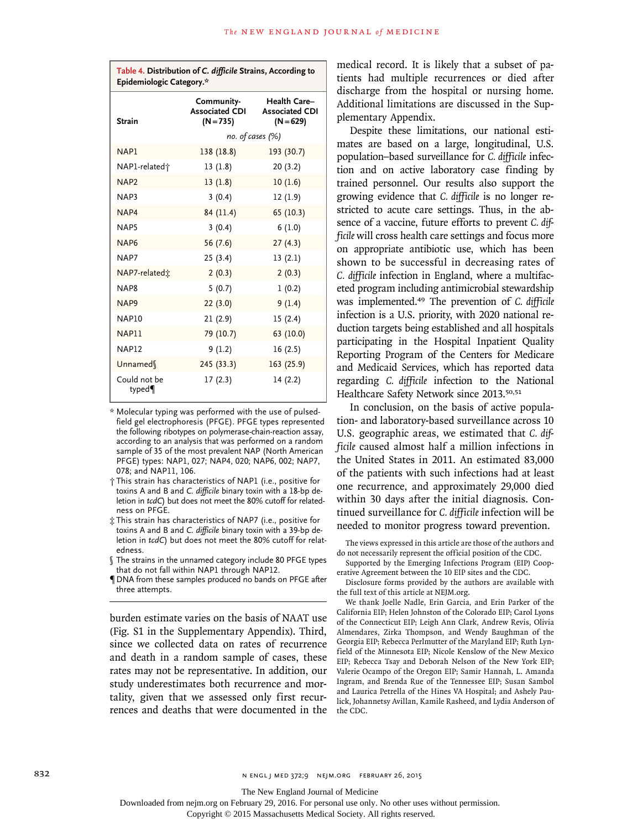| Table 4. Distribution of C. difficile Strains, According to<br>Epidemiologic Category.* |                                                            |                                    |  |  |  |  |
|-----------------------------------------------------------------------------------------|------------------------------------------------------------|------------------------------------|--|--|--|--|
| <b>Strain</b>                                                                           | Community-<br>Associated CDI Associated CDI<br>$(N = 735)$ | <b>Health Care-</b><br>$(N = 629)$ |  |  |  |  |
|                                                                                         | no. of cases (%)                                           |                                    |  |  |  |  |
| NAP1                                                                                    | 138 (18.8)                                                 | 193 (30.7)                         |  |  |  |  |
| NAP1-related <sup>+</sup>                                                               | 13(1.8)                                                    | 20(3.2)                            |  |  |  |  |
| NAP <sub>2</sub>                                                                        | 13(1.8)                                                    | 10(1.6)                            |  |  |  |  |
| NAP3                                                                                    | 3(0.4)                                                     | 12(1.9)                            |  |  |  |  |
| NAP4                                                                                    | 84 (11.4)                                                  | 65 (10.3)                          |  |  |  |  |
| NAP5                                                                                    | 3(0.4)                                                     | 6(1.0)                             |  |  |  |  |
| NAP <sub>6</sub>                                                                        | 56 (7.6)                                                   | 27(4.3)                            |  |  |  |  |
| NAP7                                                                                    | 25 (3.4)                                                   | 13(2.1)                            |  |  |  |  |
| NAP7-related <sup>+</sup>                                                               | 2(0.3)                                                     | 2(0.3)                             |  |  |  |  |
| NAP <sub>8</sub>                                                                        | 5(0.7)                                                     | 1(0.2)                             |  |  |  |  |
| NAP <sub>9</sub>                                                                        | 22(3.0)                                                    | 9(1.4)                             |  |  |  |  |
| <b>NAP10</b>                                                                            | 21(2.9)                                                    | 15(2.4)                            |  |  |  |  |
| NAP11                                                                                   | 79 (10.7)                                                  | 63 (10.0)                          |  |  |  |  |
| <b>NAP12</b>                                                                            | 9(1.2)                                                     | 16(2.5)                            |  |  |  |  |
| Unnamed                                                                                 | 245 (33.3)                                                 | 163 (25.9)                         |  |  |  |  |
| Could not be<br>typed                                                                   | 17(2.3)                                                    | 14(2.2)                            |  |  |  |  |

<sup>\*</sup> Molecular typing was performed with the use of pulsedfield gel electrophoresis (PFGE). PFGE types represented the following ribotypes on polymerase-chain-reaction assay, according to an analysis that was performed on a random sample of 35 of the most prevalent NAP (North American PFGE) types: NAP1, 027; NAP4, 020; NAP6, 002; NAP7, 078; and NAP11, 106.

burden estimate varies on the basis of NAAT use (Fig. S1 in the Supplementary Appendix). Third, since we collected data on rates of recurrence and death in a random sample of cases, these rates may not be representative. In addition, our study underestimates both recurrence and mortality, given that we assessed only first recurrences and deaths that were documented in the medical record. It is likely that a subset of patients had multiple recurrences or died after discharge from the hospital or nursing home. Additional limitations are discussed in the Supplementary Appendix.

Despite these limitations, our national estimates are based on a large, longitudinal, U.S. population–based surveillance for *C. difficile* infection and on active laboratory case finding by trained personnel. Our results also support the growing evidence that *C. difficile* is no longer restricted to acute care settings. Thus, in the absence of a vaccine, future efforts to prevent *C. difficile* will cross health care settings and focus more on appropriate antibiotic use, which has been shown to be successful in decreasing rates of *C. difficile* infection in England, where a multifaceted program including antimicrobial stewardship was implemented.49 The prevention of *C. difficile* infection is a U.S. priority, with 2020 national reduction targets being established and all hospitals participating in the Hospital Inpatient Quality Reporting Program of the Centers for Medicare and Medicaid Services, which has reported data regarding *C. difficile* infection to the National Healthcare Safety Network since 2013.<sup>50,51</sup>

In conclusion, on the basis of active population- and laboratory-based surveillance across 10 U.S. geographic areas, we estimated that *C. difficile* caused almost half a million infections in the United States in 2011. An estimated 83,000 of the patients with such infections had at least one recurrence, and approximately 29,000 died within 30 days after the initial diagnosis. Continued surveillance for *C. difficile* infection will be needed to monitor progress toward prevention.

The views expressed in this article are those of the authors and do not necessarily represent the official position of the CDC.

Supported by the Emerging Infections Program (EIP) Cooperative Agreement between the 10 EIP sites and the CDC.

Disclosure forms provided by the authors are available with the full text of this article at NEJM.org.

We thank Joelle Nadle, Erin Garcia, and Erin Parker of the California EIP; Helen Johnston of the Colorado EIP; Carol Lyons of the Connecticut EIP; Leigh Ann Clark, Andrew Revis, Olivia Almendares, Zirka Thompson, and Wendy Baughman of the Georgia EIP; Rebecca Perlmutter of the Maryland EIP; Ruth Lynfield of the Minnesota EIP; Nicole Kenslow of the New Mexico EIP; Rebecca Tsay and Deborah Nelson of the New York EIP; Valerie Ocampo of the Oregon EIP; Samir Hannah, L. Amanda Ingram, and Brenda Rue of the Tennessee EIP; Susan Sambol and Laurica Petrella of the Hines VA Hospital; and Ashely Paulick, Johannetsy Avillan, Kamile Rasheed, and Lydia Anderson of the CDC.

832 **N ENGL J MED 372;9 NEJM.ORG FEBRUARY 26, 2015** 

The New England Journal of Medicine

Downloaded from nejm.org on February 29, 2016. For personal use only. No other uses without permission.

<sup>†</sup> This strain has characteristics of NAP1 (i.e., positive for toxins A and B and *C. difficile* binary toxin with a 18-bp deletion in *tcdC*) but does not meet the 80% cutoff for relatedness on PFGE.

<sup>‡</sup> This strain has characteristics of NAP7 (i.e., positive for toxins A and B and *C. difficile* binary toxin with a 39-bp deletion in *tcdC*) but does not meet the 80% cutoff for relatedness.

<sup>§</sup> The strains in the unnamed category include 80 PFGE types that do not fall within NAP1 through NAP12.

<sup>¶</sup>DNA from these samples produced no bands on PFGE after three attempts.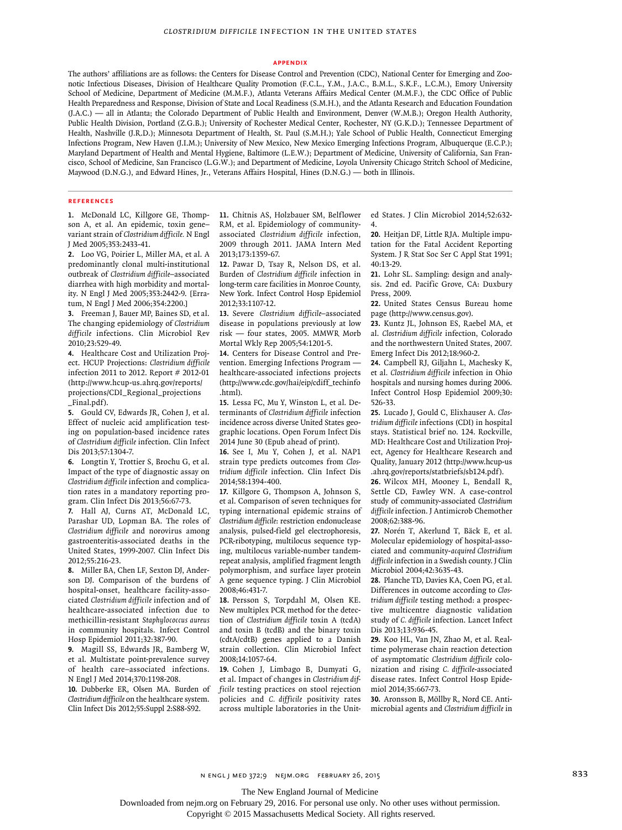#### **Appendix**

The authors' affiliations are as follows: the Centers for Disease Control and Prevention (CDC), National Center for Emerging and Zoonotic Infectious Diseases, Division of Healthcare Quality Promotion (F.C.L., Y.M., J.A.C., B.M.L., S.K.F., L.C.M.), Emory University School of Medicine, Department of Medicine (M.M.F.), Atlanta Veterans Affairs Medical Center (M.M.F.), the CDC Office of Public Health Preparedness and Response, Division of State and Local Readiness (S.M.H.), and the Atlanta Research and Education Foundation (J.A.C.) — all in Atlanta; the Colorado Department of Public Health and Environment, Denver (W.M.B.); Oregon Health Authority, Public Health Division, Portland (Z.G.B.); University of Rochester Medical Center, Rochester, NY (G.K.D.); Tennessee Department of Health, Nashville (J.R.D.); Minnesota Department of Health, St. Paul (S.M.H.); Yale School of Public Health, Connecticut Emerging Infections Program, New Haven (J.I.M.); University of New Mexico, New Mexico Emerging Infections Program, Albuquerque (E.C.P.); Maryland Department of Health and Mental Hygiene, Baltimore (L.E.W.); Department of Medicine, University of California, San Francisco, School of Medicine, San Francisco (L.G.W.); and Department of Medicine, Loyola University Chicago Stritch School of Medicine, Maywood (D.N.G.), and Edward Hines, Jr., Veterans Affairs Hospital, Hines (D.N.G.) — both in Illinois.

#### **References**

**1.** McDonald LC, Killgore GE, Thompson A, et al. An epidemic, toxin gene– variant strain of *Clostridium difficile.* N Engl J Med 2005;353:2433-41.

**2.** Loo VG, Poirier L, Miller MA, et al. A predominantly clonal multi-institutional outbreak of *Clostridium difficile*–associated diarrhea with high morbidity and mortality. N Engl J Med 2005;353:2442-9. [Erratum, N Engl J Med 2006;354:2200.]

**3.** Freeman J, Bauer MP, Baines SD, et al. The changing epidemiology of *Clostridium difficile* infections. Clin Microbiol Rev 2010;23:529-49.

**4.** Healthcare Cost and Utilization Project. HCUP Projections: *Clostridium difficile* infection 2011 to 2012. Report # 2012-01 (http://www.hcup-us.ahrq.gov/reports/ projections/CDI\_Regional\_projections \_Final.pdf).

**5.** Gould CV, Edwards JR, Cohen J, et al. Effect of nucleic acid amplification testing on population-based incidence rates of *Clostridium difficile* infection. Clin Infect Dis 2013;57:1304-7.

**6.** Longtin Y, Trottier S, Brochu G, et al. Impact of the type of diagnostic assay on *Clostridium difficile* infection and complication rates in a mandatory reporting program. Clin Infect Dis 2013;56:67-73.

**7.** Hall AJ, Curns AT, McDonald LC, Parashar UD, Lopman BA. The roles of *Clostridium difficile* and norovirus among gastroenteritis-associated deaths in the United States, 1999-2007. Clin Infect Dis 2012;55:216-23.

**8.** Miller BA, Chen LF, Sexton DJ, Anderson DJ. Comparison of the burdens of hospital-onset, healthcare facility-associated *Clostridium difficile* infection and of healthcare-associated infection due to methicillin-resistant *Staphylococcus aureus* in community hospitals. Infect Control Hosp Epidemiol 2011;32:387-90.

**9.** Magill SS, Edwards JR, Bamberg W, et al. Multistate point-prevalence survey of health care–associated infections. N Engl J Med 2014;370:1198-208.

**10.** Dubberke ER, Olsen MA. Burden of *Clostridium difficile* on the healthcare system. Clin Infect Dis 2012;55:Suppl 2:S88-S92.

**11.** Chitnis AS, Holzbauer SM, Belflower RM, et al. Epidemiology of communityassociated *Clostridium difficile* infection, 2009 through 2011. JAMA Intern Med 2013;173:1359-67.

**12.** Pawar D, Tsay R, Nelson DS, et al. Burden of *Clostridium difficile* infection in long-term care facilities in Monroe County, New York. Infect Control Hosp Epidemiol 2012;33:1107-12.

**13.** Severe *Clostridium difficile*–associated disease in populations previously at low risk — four states, 2005. MMWR Morb Mortal Wkly Rep 2005;54:1201-5.

**14.** Centers for Disease Control and Prevention. Emerging Infections Program healthcare-associated infections projects (http://www.cdc.gov/hai/eip/cdiff\_techinfo .html).

**15.** Lessa FC, Mu Y, Winston L, et al. Determinants of *Clostridium difficile* infection incidence across diverse United States geographic locations. Open Forum Infect Dis 2014 June 30 (Epub ahead of print).

**16.** See I, Mu Y, Cohen J, et al. NAP1 strain type predicts outcomes from *Clostridium difficile* infection. Clin Infect Dis 2014;58:1394-400.

**17.** Killgore G, Thompson A, Johnson S, et al. Comparison of seven techniques for typing international epidemic strains of *Clostridium difficile*: restriction endonuclease analysis, pulsed-field gel electrophoresis, PCR-ribotyping, multilocus sequence typing, multilocus variable-number tandemrepeat analysis, amplified fragment length polymorphism, and surface layer protein A gene sequence typing. J Clin Microbiol 2008;46:431-7.

**18.** Persson S, Torpdahl M, Olsen KE. New multiplex PCR method for the detection of *Clostridium difficile* toxin A (tcdA) and toxin B (tcdB) and the binary toxin (cdtA/cdtB) genes applied to a Danish strain collection. Clin Microbiol Infect 2008;14:1057-64.

**19.** Cohen J, Limbago B, Dumyati G, et al. Impact of changes in *Clostridium difficile* testing practices on stool rejection policies and *C. difficile* positivity rates across multiple laboratories in the United States. J Clin Microbiol 2014;52:632- 4.

**20.** Heitjan DF, Little RJA. Multiple imputation for the Fatal Accident Reporting System. J R Stat Soc Ser C Appl Stat 1991; 40:13-29.

**21.** Lohr SL. Sampling: design and analysis. 2nd ed. Pacific Grove, CA: Duxbury Press, 2009.

**22.** United States Census Bureau home page (http://www.census.gov).

**23.** Kuntz JL, Johnson ES, Raebel MA, et al. *Clostridium difficile* infection, Colorado and the northwestern United States, 2007. Emerg Infect Dis 2012;18:960-2.

**24.** Campbell RJ, Giljahn L, Machesky K, et al. *Clostridium difficile* infection in Ohio hospitals and nursing homes during 2006. Infect Control Hosp Epidemiol 2009;30: 526-33.

**25.** Lucado J, Gould C, Elixhauser A. *Clostridium difficile* infections (CDI) in hospital stays. Statistical brief no. 124. Rockville, MD: Healthcare Cost and Utilization Project, Agency for Healthcare Research and Quality, January 2012 (http://www.hcup-us .ahrq.gov/reports/statbriefs/sb124.pdf).

**26.** Wilcox MH, Mooney L, Bendall R, Settle CD, Fawley WN. A case-control study of community-associated *Clostridium difficile* infection. J Antimicrob Chemother 2008;62:388-96.

**27.** Norén T, Akerlund T, Bäck E, et al. Molecular epidemiology of hospital-associated and community-*acquired Clostridium difficile* infection in a Swedish county. J Clin Microbiol 2004;42:3635-43.

**28.** Planche TD, Davies KA, Coen PG, et al. Differences in outcome according to *Clostridium difficile* testing method: a prospective multicentre diagnostic validation study of *C. difficile* infection. Lancet Infect Dis 2013;13:936-45.

**29.** Koo HL, Van JN, Zhao M, et al. Realtime polymerase chain reaction detection of asymptomatic *Clostridium difficile* colonization and rising *C. difficile*-associated disease rates. Infect Control Hosp Epidemiol 2014;35:667-73.

**30.** Aronsson B, Möllby R, Nord CE. Antimicrobial agents and *Clostridium difficile* in

The New England Journal of Medicine

Downloaded from nejm.org on February 29, 2016. For personal use only. No other uses without permission.